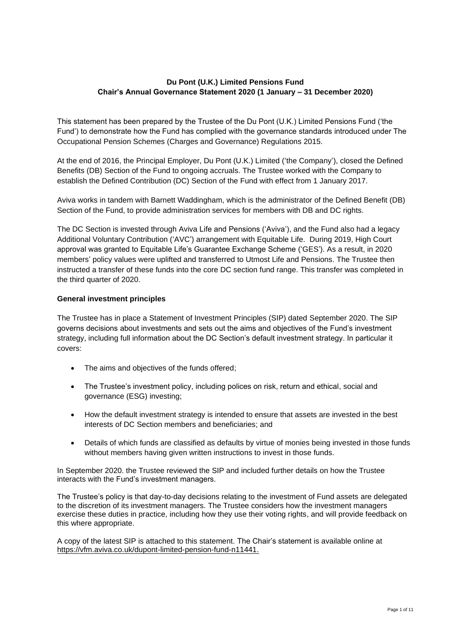# **Du Pont (U.K.) Limited Pensions Fund Chair's Annual Governance Statement 2020 (1 January – 31 December 2020)**

This statement has been prepared by the Trustee of the Du Pont (U.K.) Limited Pensions Fund ('the Fund') to demonstrate how the Fund has complied with the governance standards introduced under The Occupational Pension Schemes (Charges and Governance) Regulations 2015.

At the end of 2016, the Principal Employer, Du Pont (U.K.) Limited ('the Company'), closed the Defined Benefits (DB) Section of the Fund to ongoing accruals. The Trustee worked with the Company to establish the Defined Contribution (DC) Section of the Fund with effect from 1 January 2017.

Aviva works in tandem with Barnett Waddingham, which is the administrator of the Defined Benefit (DB) Section of the Fund, to provide administration services for members with DB and DC rights.

The DC Section is invested through Aviva Life and Pensions ('Aviva'), and the Fund also had a legacy Additional Voluntary Contribution ('AVC') arrangement with Equitable Life. During 2019, High Court approval was granted to Equitable Life's Guarantee Exchange Scheme ('GES'). As a result, in 2020 members' policy values were uplifted and transferred to Utmost Life and Pensions. The Trustee then instructed a transfer of these funds into the core DC section fund range. This transfer was completed in the third quarter of 2020.

#### **General investment principles**

The Trustee has in place a Statement of Investment Principles (SIP) dated September 2020. The SIP governs decisions about investments and sets out the aims and objectives of the Fund's investment strategy, including full information about the DC Section's default investment strategy. In particular it covers:

- The aims and obiectives of the funds offered:
- The Trustee's investment policy, including polices on risk, return and ethical, social and governance (ESG) investing;
- How the default investment strategy is intended to ensure that assets are invested in the best interests of DC Section members and beneficiaries; and
- Details of which funds are classified as defaults by virtue of monies being invested in those funds without members having given written instructions to invest in those funds.

In September 2020. the Trustee reviewed the SIP and included further details on how the Trustee interacts with the Fund's investment managers.

The Trustee's policy is that day-to-day decisions relating to the investment of Fund assets are delegated to the discretion of its investment managers. The Trustee considers how the investment managers exercise these duties in practice, including how they use their voting rights, and will provide feedback on this where appropriate.

A copy of the latest SIP is attached to this statement. The Chair's statement is available online at [https://vfm.aviva.co.uk/dupont-limited-pension-fund-n11441.](https://na01.safelinks.protection.outlook.com/?url=https%3A%2F%2Fvfm.aviva.co.uk%2Fdupont-limited-pension-fund-n11441&data=02%7C01%7C104524%40towerswatson.com%7Cda12abd7dba8404f0dda08d67d618ec4%7C76e3921f489b4b7e95479ea297add9b5%7C0%7C0%7C636834255307018379&sdata=kVpI1UuBvqstfvKRd%2BSMo2aJcuKAdu%2BcJ2Q2YE12gPA%3D&reserved=0)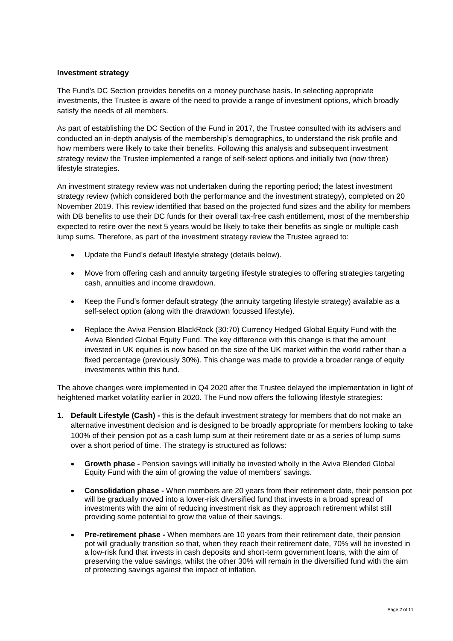## **Investment strategy**

The Fund's DC Section provides benefits on a money purchase basis. In selecting appropriate investments, the Trustee is aware of the need to provide a range of investment options, which broadly satisfy the needs of all members.

As part of establishing the DC Section of the Fund in 2017, the Trustee consulted with its advisers and conducted an in-depth analysis of the membership's demographics, to understand the risk profile and how members were likely to take their benefits. Following this analysis and subsequent investment strategy review the Trustee implemented a range of self-select options and initially two (now three) lifestyle strategies.

An investment strategy review was not undertaken during the reporting period; the latest investment strategy review (which considered both the performance and the investment strategy), completed on 20 November 2019. This review identified that based on the projected fund sizes and the ability for members with DB benefits to use their DC funds for their overall tax-free cash entitlement, most of the membership expected to retire over the next 5 years would be likely to take their benefits as single or multiple cash lump sums. Therefore, as part of the investment strategy review the Trustee agreed to:

- Update the Fund's default lifestyle strategy (details below).
- Move from offering cash and annuity targeting lifestyle strategies to offering strategies targeting cash, annuities and income drawdown.
- Keep the Fund's former default strategy (the annuity targeting lifestyle strategy) available as a self-select option (along with the drawdown focussed lifestyle).
- Replace the Aviva Pension BlackRock (30:70) Currency Hedged Global Equity Fund with the Aviva Blended Global Equity Fund. The key difference with this change is that the amount invested in UK equities is now based on the size of the UK market within the world rather than a fixed percentage (previously 30%). This change was made to provide a broader range of equity investments within this fund.

The above changes were implemented in Q4 2020 after the Trustee delayed the implementation in light of heightened market volatility earlier in 2020. The Fund now offers the following lifestyle strategies:

- **1. Default Lifestyle (Cash) -** this is the default investment strategy for members that do not make an alternative investment decision and is designed to be broadly appropriate for members looking to take 100% of their pension pot as a cash lump sum at their retirement date or as a series of lump sums over a short period of time. The strategy is structured as follows:
	- **Growth phase -** Pension savings will initially be invested wholly in the Aviva Blended Global Equity Fund with the aim of growing the value of members' savings.
	- **Consolidation phase -** When members are 20 years from their retirement date, their pension pot will be gradually moved into a lower-risk diversified fund that invests in a broad spread of investments with the aim of reducing investment risk as they approach retirement whilst still providing some potential to grow the value of their savings.
	- **Pre-retirement phase -** When members are 10 years from their retirement date, their pension pot will gradually transition so that, when they reach their retirement date, 70% will be invested in a low-risk fund that invests in cash deposits and short-term government loans, with the aim of preserving the value savings, whilst the other 30% will remain in the diversified fund with the aim of protecting savings against the impact of inflation.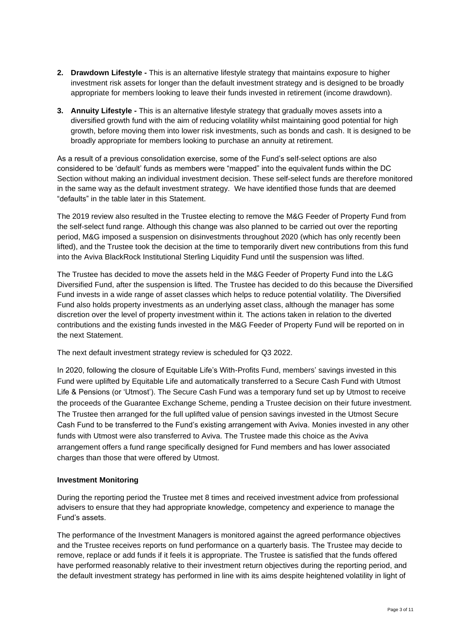- **2. Drawdown Lifestyle -** This is an alternative lifestyle strategy that maintains exposure to higher investment risk assets for longer than the default investment strategy and is designed to be broadly appropriate for members looking to leave their funds invested in retirement (income drawdown).
- **3. Annuity Lifestyle -** This is an alternative lifestyle strategy that gradually moves assets into a diversified growth fund with the aim of reducing volatility whilst maintaining good potential for high growth, before moving them into lower risk investments, such as bonds and cash. It is designed to be broadly appropriate for members looking to purchase an annuity at retirement.

As a result of a previous consolidation exercise, some of the Fund's self-select options are also considered to be 'default' funds as members were "mapped" into the equivalent funds within the DC Section without making an individual investment decision. These self-select funds are therefore monitored in the same way as the default investment strategy. We have identified those funds that are deemed "defaults" in the table later in this Statement.

The 2019 review also resulted in the Trustee electing to remove the M&G Feeder of Property Fund from the self-select fund range. Although this change was also planned to be carried out over the reporting period, M&G imposed a suspension on disinvestments throughout 2020 (which has only recently been lifted), and the Trustee took the decision at the time to temporarily divert new contributions from this fund into the Aviva BlackRock Institutional Sterling Liquidity Fund until the suspension was lifted.

The Trustee has decided to move the assets held in the M&G Feeder of Property Fund into the L&G Diversified Fund, after the suspension is lifted. The Trustee has decided to do this because the Diversified Fund invests in a wide range of asset classes which helps to reduce potential volatility. The Diversified Fund also holds property investments as an underlying asset class, although the manager has some discretion over the level of property investment within it. The actions taken in relation to the diverted contributions and the existing funds invested in the M&G Feeder of Property Fund will be reported on in the next Statement.

The next default investment strategy review is scheduled for Q3 2022.

In 2020, following the closure of Equitable Life's With-Profits Fund, members' savings invested in this Fund were uplifted by Equitable Life and automatically transferred to a Secure Cash Fund with Utmost Life & Pensions (or 'Utmost'). The Secure Cash Fund was a temporary fund set up by Utmost to receive the proceeds of the Guarantee Exchange Scheme, pending a Trustee decision on their future investment. The Trustee then arranged for the full uplifted value of pension savings invested in the Utmost Secure Cash Fund to be transferred to the Fund's existing arrangement with Aviva. Monies invested in any other funds with Utmost were also transferred to Aviva. The Trustee made this choice as the Aviva arrangement offers a fund range specifically designed for Fund members and has lower associated charges than those that were offered by Utmost.

## **Investment Monitoring**

During the reporting period the Trustee met 8 times and received investment advice from professional advisers to ensure that they had appropriate knowledge, competency and experience to manage the Fund's assets.

The performance of the Investment Managers is monitored against the agreed performance objectives and the Trustee receives reports on fund performance on a quarterly basis. The Trustee may decide to remove, replace or add funds if it feels it is appropriate. The Trustee is satisfied that the funds offered have performed reasonably relative to their investment return objectives during the reporting period, and the default investment strategy has performed in line with its aims despite heightened volatility in light of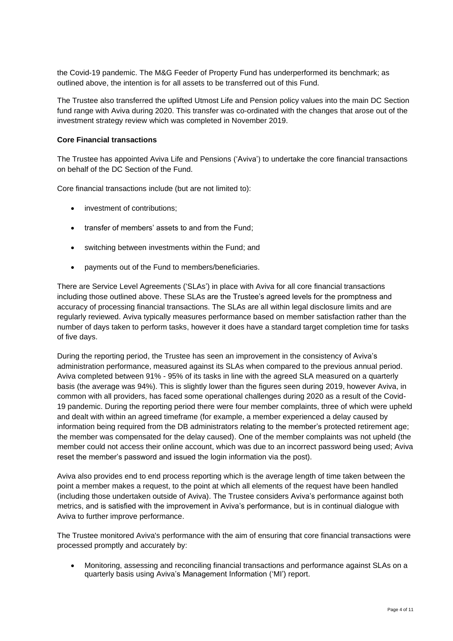the Covid-19 pandemic. The M&G Feeder of Property Fund has underperformed its benchmark; as outlined above, the intention is for all assets to be transferred out of this Fund.

The Trustee also transferred the uplifted Utmost Life and Pension policy values into the main DC Section fund range with Aviva during 2020. This transfer was co-ordinated with the changes that arose out of the investment strategy review which was completed in November 2019.

#### **Core Financial transactions**

The Trustee has appointed Aviva Life and Pensions ('Aviva') to undertake the core financial transactions on behalf of the DC Section of the Fund.

Core financial transactions include (but are not limited to):

- investment of contributions:
- transfer of members' assets to and from the Fund;
- switching between investments within the Fund; and
- payments out of the Fund to members/beneficiaries.

There are Service Level Agreements ('SLAs') in place with Aviva for all core financial transactions including those outlined above. These SLAs are the Trustee's agreed levels for the promptness and accuracy of processing financial transactions. The SLAs are all within legal disclosure limits and are regularly reviewed. Aviva typically measures performance based on member satisfaction rather than the number of days taken to perform tasks, however it does have a standard target completion time for tasks of five days.

During the reporting period, the Trustee has seen an improvement in the consistency of Aviva's administration performance, measured against its SLAs when compared to the previous annual period. Aviva completed between 91% - 95% of its tasks in line with the agreed SLA measured on a quarterly basis (the average was 94%). This is slightly lower than the figures seen during 2019, however Aviva, in common with all providers, has faced some operational challenges during 2020 as a result of the Covid-19 pandemic. During the reporting period there were four member complaints, three of which were upheld and dealt with within an agreed timeframe (for example, a member experienced a delay caused by information being required from the DB administrators relating to the member's protected retirement age; the member was compensated for the delay caused). One of the member complaints was not upheld (the member could not access their online account, which was due to an incorrect password being used; Aviva reset the member's password and issued the login information via the post).

Aviva also provides end to end process reporting which is the average length of time taken between the point a member makes a request, to the point at which all elements of the request have been handled (including those undertaken outside of Aviva). The Trustee considers Aviva's performance against both metrics, and is satisfied with the improvement in Aviva's performance, but is in continual dialogue with Aviva to further improve performance.

The Trustee monitored Aviva's performance with the aim of ensuring that core financial transactions were processed promptly and accurately by:

• Monitoring, assessing and reconciling financial transactions and performance against SLAs on a quarterly basis using Aviva's Management Information ('MI') report.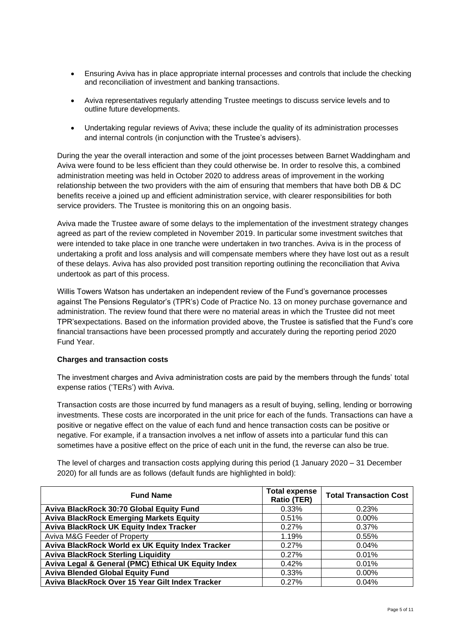- Ensuring Aviva has in place appropriate internal processes and controls that include the checking and reconciliation of investment and banking transactions.
- Aviva representatives regularly attending Trustee meetings to discuss service levels and to outline future developments.
- Undertaking regular reviews of Aviva; these include the quality of its administration processes and internal controls (in conjunction with the Trustee's advisers).

During the year the overall interaction and some of the joint processes between Barnet Waddingham and Aviva were found to be less efficient than they could otherwise be. In order to resolve this, a combined administration meeting was held in October 2020 to address areas of improvement in the working relationship between the two providers with the aim of ensuring that members that have both DB & DC benefits receive a joined up and efficient administration service, with clearer responsibilities for both service providers. The Trustee is monitoring this on an ongoing basis.

Aviva made the Trustee aware of some delays to the implementation of the investment strategy changes agreed as part of the review completed in November 2019. In particular some investment switches that were intended to take place in one tranche were undertaken in two tranches. Aviva is in the process of undertaking a profit and loss analysis and will compensate members where they have lost out as a result of these delays. Aviva has also provided post transition reporting outlining the reconciliation that Aviva undertook as part of this process.

Willis Towers Watson has undertaken an independent review of the Fund's governance processes against The Pensions Regulator's (TPR's) Code of Practice No. 13 on money purchase governance and administration. The review found that there were no material areas in which the Trustee did not meet TPR'sexpectations. Based on the information provided above, the Trustee is satisfied that the Fund's core financial transactions have been processed promptly and accurately during the reporting period 2020 Fund Year.

## **Charges and transaction costs**

The investment charges and Aviva administration costs are paid by the members through the funds' total expense ratios ('TERs') with Aviva.

Transaction costs are those incurred by fund managers as a result of buying, selling, lending or borrowing investments. These costs are incorporated in the unit price for each of the funds. Transactions can have a positive or negative effect on the value of each fund and hence transaction costs can be positive or negative. For example, if a transaction involves a net inflow of assets into a particular fund this can sometimes have a positive effect on the price of each unit in the fund, the reverse can also be true.

The level of charges and transaction costs applying during this period (1 January 2020 – 31 December 2020) for all funds are as follows (default funds are highlighted in bold):

| <b>Fund Name</b>                                    | <b>Total expense</b><br>Ratio (TER) | <b>Total Transaction Cost</b> |  |
|-----------------------------------------------------|-------------------------------------|-------------------------------|--|
| Aviva BlackRock 30:70 Global Equity Fund            | 0.33%                               | 0.23%                         |  |
| <b>Aviva BlackRock Emerging Markets Equity</b>      | 0.51%                               | $0.00\%$                      |  |
| <b>Aviva BlackRock UK Equity Index Tracker</b>      | 0.27%                               | 0.37%                         |  |
| Aviva M&G Feeder of Property                        | 1.19%                               | 0.55%                         |  |
| Aviva BlackRock World ex UK Equity Index Tracker    | 0.27%                               | 0.04%                         |  |
| <b>Aviva BlackRock Sterling Liquidity</b>           | 0.27%                               | $0.01\%$                      |  |
| Aviva Legal & General (PMC) Ethical UK Equity Index | 0.42%                               | 0.01%                         |  |
| <b>Aviva Blended Global Equity Fund</b>             | $0.33\%$                            | $0.00\%$                      |  |
| Aviva BlackRock Over 15 Year Gilt Index Tracker     | 0.27%                               | 0.04%                         |  |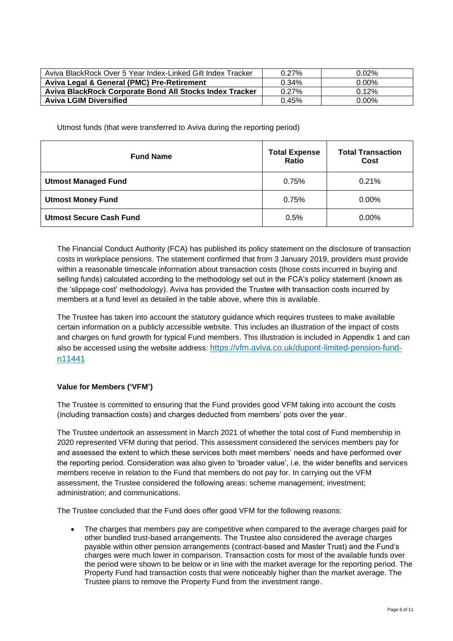| Aviva BlackRock Over 5 Year Index-Linked Gilt Index Tracker | $0.27\%$ | 0.02%    |  |
|-------------------------------------------------------------|----------|----------|--|
| Aviva Legal & General (PMC) Pre-Retirement                  | 0.34%    | 0.00%    |  |
| Aviva BlackRock Corporate Bond All Stocks Index Tracker     | 0.27%    | 0.12%    |  |
| <b>Aviva LGIM Diversified</b>                               | 0.45%    | $0.00\%$ |  |

Utmost funds (that were transferred to Aviva during the reporting period)

| <b>Fund Name</b>               | <b>Total Expense</b><br>Ratio | <b>Total Transaction</b><br>Cost |  |
|--------------------------------|-------------------------------|----------------------------------|--|
| <b>Utmost Managed Fund</b>     | 0.75%                         | 0.21%                            |  |
| <b>Utmost Money Fund</b>       | 0.75%                         | 0.00%                            |  |
| <b>Utmost Secure Cash Fund</b> | 0.5%                          | $0.00\%$                         |  |

The Financial Conduct Authority (FCA) has published its policy statement on the disclosure of transaction costs in workplace pensions. The statement confirmed that from 3 January 2019, providers must provide within a reasonable timescale information about transaction costs (those costs incurred in buying and selling funds) calculated according to the methodology set out in the FCA's policy statement (known as the 'slippage cost' methodology). Aviva has provided the Trustee with transaction costs incurred by members at a fund level as detailed in the table above, where this is available.

The Trustee has taken into account the statutory guidance which requires trustees to make available certain information on a publicly accessible website. This includes an illustration of the impact of costs and charges on fund growth for typical Fund members. This illustration is included in Appendix 1 and can also be accessed using the website address: [https://vfm.aviva.co.uk/dupont-limited-pension-fund](https://na01.safelinks.protection.outlook.com/?url=https%3A%2F%2Fvfm.aviva.co.uk%2Fdupont-limited-pension-fund-n11441&data=02%7C01%7C104524%40towerswatson.com%7Cda12abd7dba8404f0dda08d67d618ec4%7C76e3921f489b4b7e95479ea297add9b5%7C0%7C0%7C636834255307018379&sdata=kVpI1UuBvqstfvKRd%2BSMo2aJcuKAdu%2BcJ2Q2YE12gPA%3D&reserved=0)[n11441](https://na01.safelinks.protection.outlook.com/?url=https%3A%2F%2Fvfm.aviva.co.uk%2Fdupont-limited-pension-fund-n11441&data=02%7C01%7C104524%40towerswatson.com%7Cda12abd7dba8404f0dda08d67d618ec4%7C76e3921f489b4b7e95479ea297add9b5%7C0%7C0%7C636834255307018379&sdata=kVpI1UuBvqstfvKRd%2BSMo2aJcuKAdu%2BcJ2Q2YE12gPA%3D&reserved=0)

## **Value for Members ('VFM')**

The Trustee is committed to ensuring that the Fund provides good VFM taking into account the costs (including transaction costs) and charges deducted from members' pots over the year.

The Trustee undertook an assessment in March 2021 of whether the total cost of Fund membership in 2020 represented VFM during that period. This assessment considered the services members pay for and assessed the extent to which these services both meet members' needs and have performed over the reporting period. Consideration was also given to 'broader value', i.e. the wider benefits and services members receive in relation to the Fund that members do not pay for. In carrying out the VFM assessment, the Trustee considered the following areas: scheme management; investment; administration; and communications.

The Trustee concluded that the Fund does offer good VFM for the following reasons:

The charges that members pay are competitive when compared to the average charges paid for other bundled trust-based arrangements. The Trustee also considered the average charges payable within other pension arrangements (contract-based and Master Trust) and the Fund's charges were much lower in comparison. Transaction costs for most of the available funds over the period were shown to be below or in line with the market average for the reporting period. The Property Fund had transaction costs that were noticeably higher than the market average. The Trustee plans to remove the Property Fund from the investment range.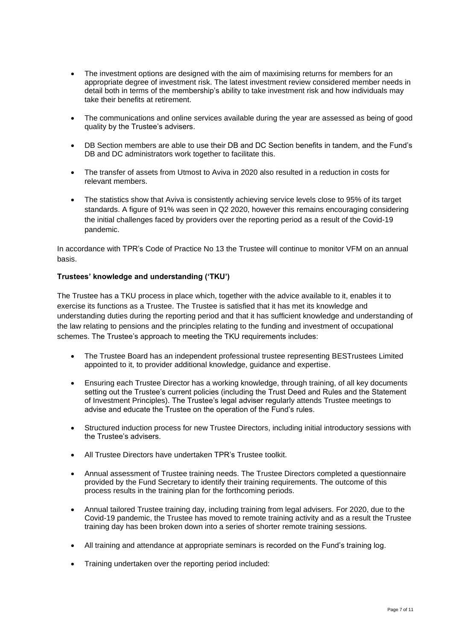- The investment options are designed with the aim of maximising returns for members for an appropriate degree of investment risk. The latest investment review considered member needs in detail both in terms of the membership's ability to take investment risk and how individuals may take their benefits at retirement.
- The communications and online services available during the year are assessed as being of good quality by the Trustee's advisers.
- DB Section members are able to use their DB and DC Section benefits in tandem, and the Fund's DB and DC administrators work together to facilitate this.
- The transfer of assets from Utmost to Aviva in 2020 also resulted in a reduction in costs for relevant members.
- The statistics show that Aviva is consistently achieving service levels close to 95% of its target standards. A figure of 91% was seen in Q2 2020, however this remains encouraging considering the initial challenges faced by providers over the reporting period as a result of the Covid-19 pandemic.

In accordance with TPR's Code of Practice No 13 the Trustee will continue to monitor VFM on an annual basis.

## **Trustees' knowledge and understanding ('TKU')**

The Trustee has a TKU process in place which, together with the advice available to it, enables it to exercise its functions as a Trustee. The Trustee is satisfied that it has met its knowledge and understanding duties during the reporting period and that it has sufficient knowledge and understanding of the law relating to pensions and the principles relating to the funding and investment of occupational schemes. The Trustee's approach to meeting the TKU requirements includes:

- The Trustee Board has an independent professional trustee representing BESTrustees Limited appointed to it, to provider additional knowledge, guidance and expertise.
- Ensuring each Trustee Director has a working knowledge, through training, of all key documents setting out the Trustee's current policies (including the Trust Deed and Rules and the Statement of Investment Principles). The Trustee's legal adviser regularly attends Trustee meetings to advise and educate the Trustee on the operation of the Fund's rules.
- Structured induction process for new Trustee Directors, including initial introductory sessions with the Trustee's advisers.
- All Trustee Directors have undertaken TPR's Trustee toolkit.
- Annual assessment of Trustee training needs. The Trustee Directors completed a questionnaire provided by the Fund Secretary to identify their training requirements. The outcome of this process results in the training plan for the forthcoming periods.
- Annual tailored Trustee training day, including training from legal advisers. For 2020, due to the Covid-19 pandemic, the Trustee has moved to remote training activity and as a result the Trustee training day has been broken down into a series of shorter remote training sessions.
- All training and attendance at appropriate seminars is recorded on the Fund's training log.
- Training undertaken over the reporting period included: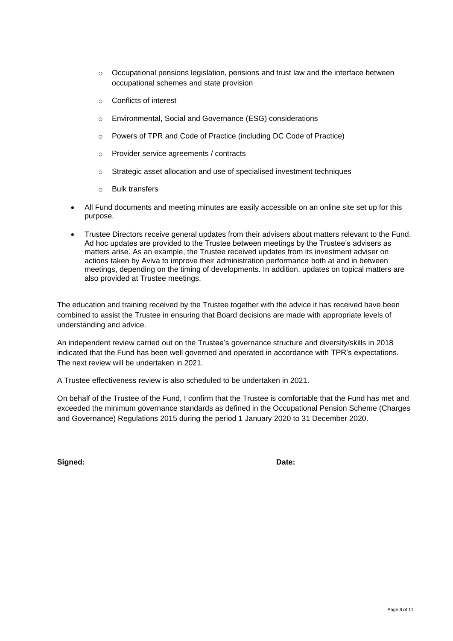- $\circ$  Occupational pensions legislation, pensions and trust law and the interface between occupational schemes and state provision
- o Conflicts of interest
- o Environmental, Social and Governance (ESG) considerations
- o Powers of TPR and Code of Practice (including DC Code of Practice)
- o Provider service agreements / contracts
- o Strategic asset allocation and use of specialised investment techniques
- o Bulk transfers
- All Fund documents and meeting minutes are easily accessible on an online site set up for this purpose.
- Trustee Directors receive general updates from their advisers about matters relevant to the Fund. Ad hoc updates are provided to the Trustee between meetings by the Trustee's advisers as matters arise. As an example, the Trustee received updates from its investment adviser on actions taken by Aviva to improve their administration performance both at and in between meetings, depending on the timing of developments. In addition, updates on topical matters are also provided at Trustee meetings.

The education and training received by the Trustee together with the advice it has received have been combined to assist the Trustee in ensuring that Board decisions are made with appropriate levels of understanding and advice.

An independent review carried out on the Trustee's governance structure and diversity/skills in 2018 indicated that the Fund has been well governed and operated in accordance with TPR's expectations. The next review will be undertaken in 2021.

A Trustee effectiveness review is also scheduled to be undertaken in 2021.

On behalf of the Trustee of the Fund, I confirm that the Trustee is comfortable that the Fund has met and exceeded the minimum governance standards as defined in the Occupational Pension Scheme (Charges and Governance) Regulations 2015 during the period 1 January 2020 to 31 December 2020.

**Signed: Date:**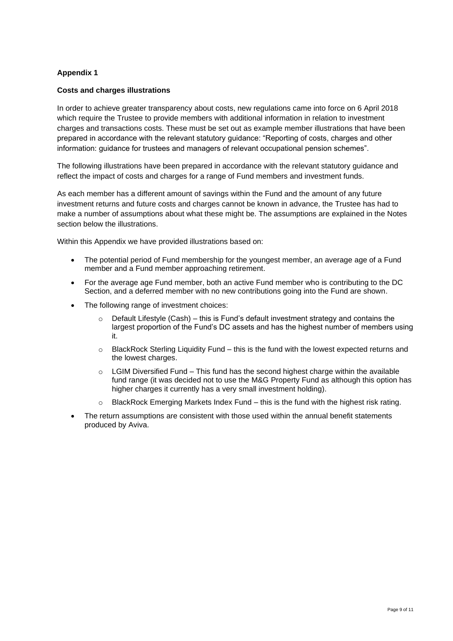## **Appendix 1**

## **Costs and charges illustrations**

In order to achieve greater transparency about costs, new regulations came into force on 6 April 2018 which require the Trustee to provide members with additional information in relation to investment charges and transactions costs. These must be set out as example member illustrations that have been prepared in accordance with the relevant statutory guidance: "Reporting of costs, charges and other information: guidance for trustees and managers of relevant occupational pension schemes".

The following illustrations have been prepared in accordance with the relevant statutory guidance and reflect the impact of costs and charges for a range of Fund members and investment funds.

As each member has a different amount of savings within the Fund and the amount of any future investment returns and future costs and charges cannot be known in advance, the Trustee has had to make a number of assumptions about what these might be. The assumptions are explained in the Notes section below the illustrations.

Within this Appendix we have provided illustrations based on:

- The potential period of Fund membership for the youngest member, an average age of a Fund member and a Fund member approaching retirement.
- For the average age Fund member, both an active Fund member who is contributing to the DC Section, and a deferred member with no new contributions going into the Fund are shown.
- The following range of investment choices:
	- Default Lifestyle (Cash) this is Fund's default investment strategy and contains the largest proportion of the Fund's DC assets and has the highest number of members using it.
	- o BlackRock Sterling Liquidity Fund this is the fund with the lowest expected returns and the lowest charges.
	- $\circ$  LGIM Diversified Fund This fund has the second highest charge within the available fund range (it was decided not to use the M&G Property Fund as although this option has higher charges it currently has a very small investment holding).
	- $\circ$  BlackRock Emerging Markets Index Fund this is the fund with the highest risk rating.
- The return assumptions are consistent with those used within the annual benefit statements produced by Aviva.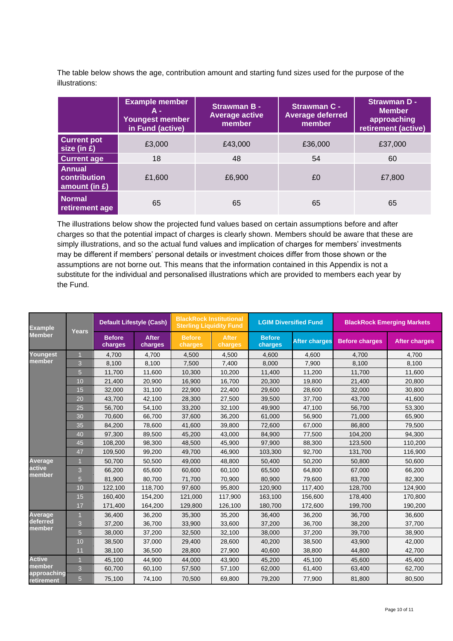The table below shows the age, contribution amount and starting fund sizes used for the purpose of the illustrations:

|                                                   | <b>Example member</b><br>A -<br>Youngest member<br>in Fund (active) | Strawman B -<br><b>Average active</b><br>member | <b>Strawman C -</b><br><b>Average deferred</b><br>member | <b>Strawman D -</b><br><b>Member</b><br>approaching<br>retirement (active) |
|---------------------------------------------------|---------------------------------------------------------------------|-------------------------------------------------|----------------------------------------------------------|----------------------------------------------------------------------------|
| <b>Current pot</b><br>size (in £)                 | £3,000                                                              | £43,000                                         | £36,000                                                  | £37,000                                                                    |
| <b>Current age</b>                                | 18                                                                  | 48                                              | 54                                                       | 60                                                                         |
| <b>Annual</b><br>contribution<br>amount (in $E$ ) | £1,600                                                              | £6,900                                          | £0                                                       | £7,800                                                                     |
| <b>Normal</b><br>retirement age                   | 65                                                                  | 65                                              | 65                                                       | 65                                                                         |

The illustrations below show the projected fund values based on certain assumptions before and after charges so that the potential impact of charges is clearly shown. Members should be aware that these are simply illustrations, and so the actual fund values and implication of charges for members' investments may be different if members' personal details or investment choices differ from those shown or the assumptions are not borne out. This means that the information contained in this Appendix is not a substitute for the individual and personalised illustrations which are provided to members each year by the Fund.

| <b>Example</b><br>Member                             | <b>Years</b> | Default Lifestyle (Cash) |                         | <b>BlackRock Institutional</b><br><b>Sterling Liquidity Fund</b> |                         | <b>LGIM Diversified Fund</b> |                      | <b>BlackRock Emerging Markets</b> |                      |
|------------------------------------------------------|--------------|--------------------------|-------------------------|------------------------------------------------------------------|-------------------------|------------------------------|----------------------|-----------------------------------|----------------------|
|                                                      |              | <b>Before</b><br>charges | <b>After</b><br>charges | <b>Before</b><br>charges                                         | <b>After</b><br>charges | <b>Before</b><br>charges     | <b>After charges</b> | <b>Before charges</b>             | <b>After charges</b> |
| Youngest                                             |              | 4.700                    | 4.700                   | 4,500                                                            | 4,500                   | 4,600                        | 4.600                | 4,700                             | 4.700                |
| member                                               | 3            | 8,100                    | 8,100                   | 7,500                                                            | 7,400                   | 8,000                        | 7,900                | 8,100                             | 8,100                |
|                                                      | 5            | 11,700                   | 11,600                  | 10,300                                                           | 10,200                  | 11,400                       | 11,200               | 11,700                            | 11,600               |
|                                                      | 10           | 21,400                   | 20,900                  | 16,900                                                           | 16,700                  | 20,300                       | 19,800               | 21,400                            | 20,800               |
|                                                      | 15           | 32.000                   | 31,100                  | 22.900                                                           | 22,400                  | 29,600                       | 28,600               | 32.000                            | 30,800               |
|                                                      | 20           | 43,700                   | 42,100                  | 28,300                                                           | 27,500                  | 39,500                       | 37,700               | 43,700                            | 41,600               |
|                                                      | 25           | 56,700                   | 54,100                  | 33,200                                                           | 32,100                  | 49,900                       | 47,100               | 56,700                            | 53,300               |
|                                                      | 30           | 70,600                   | 66,700                  | 37,600                                                           | 36,200                  | 61,000                       | 56,900               | 71,000                            | 65,900               |
|                                                      | 35           | 84.200                   | 78,600                  | 41.600                                                           | 39,800                  | 72.600                       | 67.000               | 86.800                            | 79.500               |
|                                                      | 40           | 97.300                   | 89,500                  | 45.200                                                           | 43,000                  | 84,900                       | 77.500               | 104.200                           | 94.300               |
|                                                      | 45           | 108,200                  | 98,300                  | 48,500                                                           | 45,900                  | 97,900                       | 88,300               | 123,500                           | 110,200              |
|                                                      | 47           | 109,500                  | 99,200                  | 49.700                                                           | 46,900                  | 103,300                      | 92.700               | 131,700                           | 116,900              |
| Average                                              |              | 50.700                   | 50,500                  | 49.000                                                           | 48,800                  | 50,400                       | 50.200               | 50.800                            | 50.600               |
| active                                               | 3            | 66,200                   | 65,600                  | 60.600                                                           | 60,100                  | 65,500                       | 64.800               | 67,000                            | 66,200               |
| member                                               | 5            | 81.900                   | 80.700                  | 71.700                                                           | 70,900                  | 80.900                       | 79.600               | 83.700                            | 82.300               |
|                                                      | 10           | 122,100                  | 118,700                 | 97,600                                                           | 95,800                  | 120,900                      | 117,400              | 128,700                           | 124,900              |
|                                                      | 15           | 160,400                  | 154,200                 | 121,000                                                          | 117,900                 | 163,100                      | 156,600              | 178,400                           | 170,800              |
|                                                      | 17           | 171,400                  | 164,200                 | 129,800                                                          | 126,100                 | 180,700                      | 172,600              | 199,700                           | 190,200              |
| Average                                              |              | 36,400                   | 36,200                  | 35,300                                                           | 35,200                  | 36,400                       | 36,200               | 36,700                            | 36,600               |
| deferred<br>member                                   | 3            | 37,200                   | 36,700                  | 33,900                                                           | 33,600                  | 37,200                       | 36,700               | 38,200                            | 37,700               |
|                                                      | 5            | 38,000                   | 37,200                  | 32,500                                                           | 32,100                  | 38,000                       | 37.200               | 39.700                            | 38.900               |
|                                                      | 10           | 38,500                   | 37,000                  | 29,400                                                           | 28,600                  | 40,200                       | 38,500               | 43,900                            | 42,000               |
|                                                      | 11           | 38,100                   | 36,500                  | 28,800                                                           | 27,900                  | 40,600                       | 38,800               | 44,800                            | 42,700               |
| <b>Active</b><br>member<br>approaching<br>retirement |              | 45,100                   | 44,900                  | 44,000                                                           | 43,900                  | 45,200                       | 45,100               | 45,600                            | 45,400               |
|                                                      | 3            | 60.700                   | 60,100                  | 57,500                                                           | 57,100                  | 62,000                       | 61,400               | 63,400                            | 62,700               |
|                                                      | 5            | 75,100                   | 74,100                  | 70,500                                                           | 69,800                  | 79,200                       | 77,900               | 81,800                            | 80,500               |